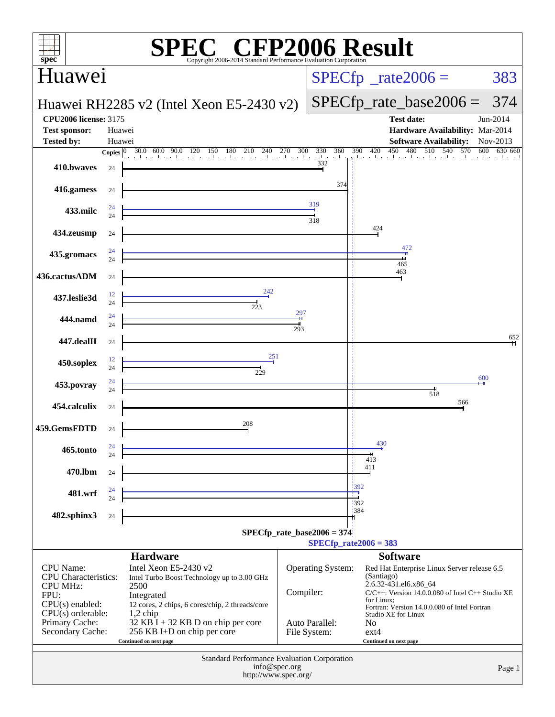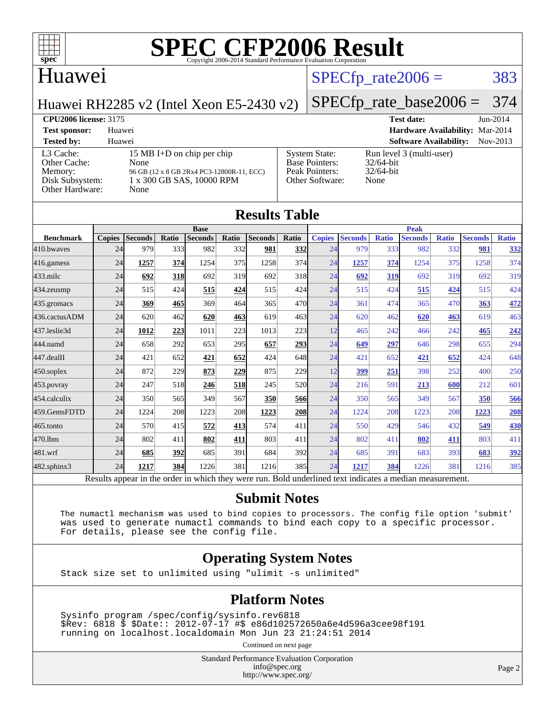

#### Huawei

#### $SPECTp\_rate2006 = 383$

Huawei RH2285 v2 (Intel Xeon E5-2430 v2)

## [SPECfp\\_rate\\_base2006 =](http://www.spec.org/auto/cpu2006/Docs/result-fields.html#SPECfpratebase2006) 374

**[CPU2006 license:](http://www.spec.org/auto/cpu2006/Docs/result-fields.html#CPU2006license)** 3175 **[Test date:](http://www.spec.org/auto/cpu2006/Docs/result-fields.html#Testdate)** Jun-2014 **[Test sponsor:](http://www.spec.org/auto/cpu2006/Docs/result-fields.html#Testsponsor)** Huawei **[Hardware Availability:](http://www.spec.org/auto/cpu2006/Docs/result-fields.html#HardwareAvailability)** Mar-2014 **[Tested by:](http://www.spec.org/auto/cpu2006/Docs/result-fields.html#Testedby)** Huawei **[Software Availability:](http://www.spec.org/auto/cpu2006/Docs/result-fields.html#SoftwareAvailability)** Nov-2013 [System State:](http://www.spec.org/auto/cpu2006/Docs/result-fields.html#SystemState) Run level 3 (multi-user)<br>Base Pointers: 32/64-bit

[L3 Cache:](http://www.spec.org/auto/cpu2006/Docs/result-fields.html#L3Cache) 15 MB I+D on chip per chip<br>Other Cache: None [Other Cache:](http://www.spec.org/auto/cpu2006/Docs/result-fields.html#OtherCache) [Memory:](http://www.spec.org/auto/cpu2006/Docs/result-fields.html#Memory) 96 GB (12 x 8 GB 2Rx4 PC3-12800R-11, ECC) [Disk Subsystem:](http://www.spec.org/auto/cpu2006/Docs/result-fields.html#DiskSubsystem) 1 x 300 GB SAS, 10000 RPM

| Other Hardware:  |               | None           |                  |                |       |                      |              |               |                |              |                |              |                |              |
|------------------|---------------|----------------|------------------|----------------|-------|----------------------|--------------|---------------|----------------|--------------|----------------|--------------|----------------|--------------|
|                  |               |                |                  |                |       | <b>Results Table</b> |              |               |                |              |                |              |                |              |
|                  | <b>Base</b>   |                |                  |                |       |                      | <b>Peak</b>  |               |                |              |                |              |                |              |
| <b>Benchmark</b> | <b>Copies</b> | <b>Seconds</b> | Ratio            | <b>Seconds</b> | Ratio | <b>Seconds</b>       | Ratio        | <b>Copies</b> | <b>Seconds</b> | <b>Ratio</b> | <b>Seconds</b> | <b>Ratio</b> | <b>Seconds</b> | <b>Ratio</b> |
| 410.bwayes       | 24            | 979            | 333 <sup>I</sup> | 982            | 332   | 981                  | <u>332  </u> | 24            | 979            | 333          | 982            | 332          | 981            | <u>332</u>   |
| 416.gamess       | 24            | 1257           | 374              | 1254           | 375   | 1258                 | 374          | 24            | 1257           | 374          | 1254           | 375          | 1258           | 374          |
| 433.milc         | 24            | 692            | <b>318</b>       | 692            | 319   | 692                  | 318          | 24            | 692            | 319          | 692            | 319          | 692            | 319          |
| 434.zeusmp       | 24            | 515            | 424              | 515            | 424   | 515                  | 424          | 24            | 515            | 424          | 515            | 424          | 515            | 424          |
| 435.gromacs      | 24            | 369            | 465              | 369            | 464   | 365                  | 470          | 24            | 361            | 474          | 365            | 470          | 363            | 472          |
| 436.cactusADM    | 24            | 620            | 462              | 620            | 463   | 619                  | 463          | 24            | 620            | 462          | 620            | 463          | 619            | 463          |
| 437.leslie3d     | 24            | 1012           | 223              | 1011           | 223   | 1013                 | 223          | 12            | 465            | 242          | 466            | 242          | 465            | 242          |
| 444.namd         | 24            | 658            | 292              | 653            | 295   | 657                  | 293          | 24            | 649            | 297          | 646            | 298          | 655            | 294          |
| 447.dealII       | 24            | 421            | 652              | 421            | 652   | 424                  | 648          | 24            | 421            | 652          | 421            | 652          | 424            | 648          |
| 450.soplex       | 24            | 872            | 229              | 873            | 229   | 875                  | 229          | 12            | 399            | 251          | 398            | 252          | 400            | 250          |
| 453.povray       | 24            | 247            | 518              | 246            | 518   | 245                  | 520          | 24            | 216            | 591          | 213            | 600          | 212            | 601          |
| 454.calculix     | 24            | 350            | 565              | 349            | 567   | 350                  | 566          | 24            | 350            | 565          | 349            | 567          | 350            | 566          |
| 459.GemsFDTD     | 24            | 1224           | 208              | 1223           | 208   | 1223                 | <b>208</b>   | 24            | 1224           | 208          | 1223           | 208          | 1223           | 208          |
| 465.tonto        | 24            | 570            | 415              | 572            | 413   | 574                  | 411          | 24            | 550            | 429          | 546            | 432          | 549            | <b>430</b>   |
| 470.1bm          | 24            | 802            | 411              | 802            | 411   | 803                  | 411          | 24            | 802            | 411          | 802            | 411          | 803            | 411          |

[Base Pointers:](http://www.spec.org/auto/cpu2006/Docs/result-fields.html#BasePointers)

[Peak Pointers:](http://www.spec.org/auto/cpu2006/Docs/result-fields.html#PeakPointers) 32/64-bit [Other Software:](http://www.spec.org/auto/cpu2006/Docs/result-fields.html#OtherSoftware) None

[482.sphinx3](http://www.spec.org/auto/cpu2006/Docs/482.sphinx3.html) 24 **[1217](http://www.spec.org/auto/cpu2006/Docs/result-fields.html#Median) [384](http://www.spec.org/auto/cpu2006/Docs/result-fields.html#Median)** 1226 381 1216 385 24 **[1217](http://www.spec.org/auto/cpu2006/Docs/result-fields.html#Median) [384](http://www.spec.org/auto/cpu2006/Docs/result-fields.html#Median)** 1226 381 1216 385 Results appear in the [order in which they were run.](http://www.spec.org/auto/cpu2006/Docs/result-fields.html#RunOrder) Bold underlined text [indicates a median measurement.](http://www.spec.org/auto/cpu2006/Docs/result-fields.html#Median)

[481.wrf](http://www.spec.org/auto/cpu2006/Docs/481.wrf.html) 24 **[685](http://www.spec.org/auto/cpu2006/Docs/result-fields.html#Median) [392](http://www.spec.org/auto/cpu2006/Docs/result-fields.html#Median)** 685 391 684 392 24 685 391 683 393 **[683](http://www.spec.org/auto/cpu2006/Docs/result-fields.html#Median) [392](http://www.spec.org/auto/cpu2006/Docs/result-fields.html#Median)**

#### **[Submit Notes](http://www.spec.org/auto/cpu2006/Docs/result-fields.html#SubmitNotes)**

 The numactl mechanism was used to bind copies to processors. The config file option 'submit' was used to generate numactl commands to bind each copy to a specific processor. For details, please see the config file.

#### **[Operating System Notes](http://www.spec.org/auto/cpu2006/Docs/result-fields.html#OperatingSystemNotes)**

Stack size set to unlimited using "ulimit -s unlimited"

#### **[Platform Notes](http://www.spec.org/auto/cpu2006/Docs/result-fields.html#PlatformNotes)**

 Sysinfo program /spec/config/sysinfo.rev6818 \$Rev: 6818 \$ \$Date:: 2012-07-17 #\$ e86d102572650a6e4d596a3cee98f191 running on localhost.localdomain Mon Jun 23 21:24:51 2014

Continued on next page

Standard Performance Evaluation Corporation [info@spec.org](mailto:info@spec.org) <http://www.spec.org/>

Page 2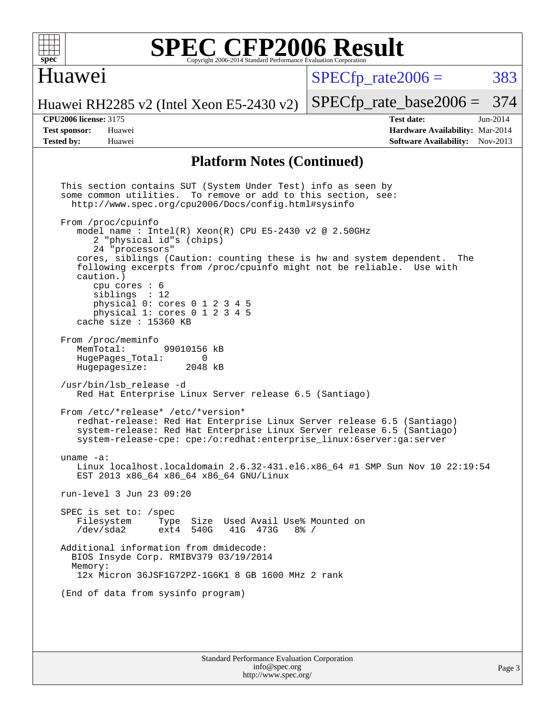

#### Huawei

 $SPECTp\_rate2006 = 383$ 

[SPECfp\\_rate\\_base2006 =](http://www.spec.org/auto/cpu2006/Docs/result-fields.html#SPECfpratebase2006) 374

Huawei RH2285 v2 (Intel Xeon E5-2430 v2)

**[CPU2006 license:](http://www.spec.org/auto/cpu2006/Docs/result-fields.html#CPU2006license)** 3175 **[Test date:](http://www.spec.org/auto/cpu2006/Docs/result-fields.html#Testdate)** Jun-2014 **[Test sponsor:](http://www.spec.org/auto/cpu2006/Docs/result-fields.html#Testsponsor)** Huawei **[Hardware Availability:](http://www.spec.org/auto/cpu2006/Docs/result-fields.html#HardwareAvailability)** Mar-2014 **[Tested by:](http://www.spec.org/auto/cpu2006/Docs/result-fields.html#Testedby)** Huawei **[Software Availability:](http://www.spec.org/auto/cpu2006/Docs/result-fields.html#SoftwareAvailability)** Nov-2013

#### **[Platform Notes \(Continued\)](http://www.spec.org/auto/cpu2006/Docs/result-fields.html#PlatformNotes)**

Standard Performance Evaluation Corporation This section contains SUT (System Under Test) info as seen by some common utilities. To remove or add to this section, see: <http://www.spec.org/cpu2006/Docs/config.html#sysinfo> From /proc/cpuinfo model name : Intel $(R)$  Xeon $(R)$  CPU E5-2430 v2 @ 2.50GHz 2 "physical id"s (chips) 24 "processors" cores, siblings (Caution: counting these is hw and system dependent. The following excerpts from /proc/cpuinfo might not be reliable. Use with caution.) cpu cores : 6 siblings : 12 physical 0: cores 0 1 2 3 4 5 physical 1: cores 0 1 2 3 4 5 cache size : 15360 KB From /proc/meminfo<br>MemTotal: 99010156 kB HugePages\_Total: 0 Hugepagesize: 2048 kB /usr/bin/lsb\_release -d Red Hat Enterprise Linux Server release 6.5 (Santiago) From /etc/\*release\* /etc/\*version\* redhat-release: Red Hat Enterprise Linux Server release 6.5 (Santiago) system-release: Red Hat Enterprise Linux Server release 6.5 (Santiago) system-release-cpe: cpe:/o:redhat:enterprise\_linux:6server:ga:server uname -a: Linux localhost.localdomain 2.6.32-431.el6.x86\_64 #1 SMP Sun Nov 10 22:19:54 EST 2013 x86\_64 x86\_64 x86\_64 GNU/Linux run-level 3 Jun 23 09:20 SPEC is set to: /spec<br>Filesystem Type Type Size Used Avail Use% Mounted on /dev/sda2 ext4 540G 41G 473G 8% / Additional information from dmidecode: BIOS Insyde Corp. RMIBV379 03/19/2014 Memory: 12x Micron 36JSF1G72PZ-1G6K1 8 GB 1600 MHz 2 rank (End of data from sysinfo program)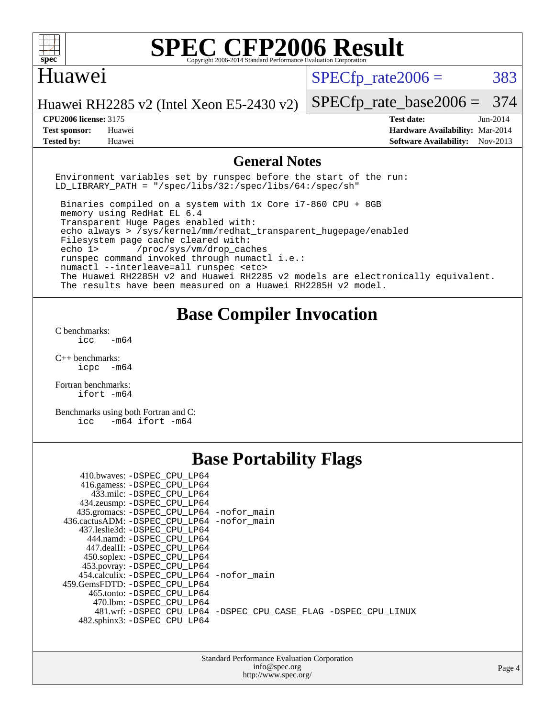

#### Huawei

 $SPECTp\_rate2006 = 383$ 

Huawei RH2285 v2 (Intel Xeon E5-2430 v2)

**[Test sponsor:](http://www.spec.org/auto/cpu2006/Docs/result-fields.html#Testsponsor)** Huawei **[Hardware Availability:](http://www.spec.org/auto/cpu2006/Docs/result-fields.html#HardwareAvailability)** Mar-2014 **[Tested by:](http://www.spec.org/auto/cpu2006/Docs/result-fields.html#Testedby)** Huawei **[Software Availability:](http://www.spec.org/auto/cpu2006/Docs/result-fields.html#SoftwareAvailability)** Nov-2013

[SPECfp\\_rate\\_base2006 =](http://www.spec.org/auto/cpu2006/Docs/result-fields.html#SPECfpratebase2006) 374 **[CPU2006 license:](http://www.spec.org/auto/cpu2006/Docs/result-fields.html#CPU2006license)** 3175 **[Test date:](http://www.spec.org/auto/cpu2006/Docs/result-fields.html#Testdate)** Jun-2014

#### **[General Notes](http://www.spec.org/auto/cpu2006/Docs/result-fields.html#GeneralNotes)**

Environment variables set by runspec before the start of the run: LD LIBRARY PATH = "/spec/libs/32:/spec/libs/64:/spec/sh"

 Binaries compiled on a system with 1x Core i7-860 CPU + 8GB memory using RedHat EL 6.4 Transparent Huge Pages enabled with: echo always > /sys/kernel/mm/redhat\_transparent\_hugepage/enabled Filesystem page cache cleared with: echo 1> /proc/sys/vm/drop\_caches runspec command invoked through numactl i.e.: numactl --interleave=all runspec <etc> The Huawei RH2285H v2 and Huawei RH2285 v2 models are electronically equivalent. The results have been measured on a Huawei RH2285H v2 model.

#### **[Base Compiler Invocation](http://www.spec.org/auto/cpu2006/Docs/result-fields.html#BaseCompilerInvocation)**

[C benchmarks](http://www.spec.org/auto/cpu2006/Docs/result-fields.html#Cbenchmarks): icc  $-m64$ 

[C++ benchmarks:](http://www.spec.org/auto/cpu2006/Docs/result-fields.html#CXXbenchmarks) [icpc -m64](http://www.spec.org/cpu2006/results/res2014q3/cpu2006-20140719-30537.flags.html#user_CXXbase_intel_icpc_64bit_bedb90c1146cab66620883ef4f41a67e)

[Fortran benchmarks](http://www.spec.org/auto/cpu2006/Docs/result-fields.html#Fortranbenchmarks): [ifort -m64](http://www.spec.org/cpu2006/results/res2014q3/cpu2006-20140719-30537.flags.html#user_FCbase_intel_ifort_64bit_ee9d0fb25645d0210d97eb0527dcc06e)

[Benchmarks using both Fortran and C](http://www.spec.org/auto/cpu2006/Docs/result-fields.html#BenchmarksusingbothFortranandC): [icc -m64](http://www.spec.org/cpu2006/results/res2014q3/cpu2006-20140719-30537.flags.html#user_CC_FCbase_intel_icc_64bit_0b7121f5ab7cfabee23d88897260401c) [ifort -m64](http://www.spec.org/cpu2006/results/res2014q3/cpu2006-20140719-30537.flags.html#user_CC_FCbase_intel_ifort_64bit_ee9d0fb25645d0210d97eb0527dcc06e)

## **[Base Portability Flags](http://www.spec.org/auto/cpu2006/Docs/result-fields.html#BasePortabilityFlags)**

| 410.bwaves: -DSPEC CPU LP64                |                                                                |
|--------------------------------------------|----------------------------------------------------------------|
| 416.gamess: -DSPEC_CPU_LP64                |                                                                |
| 433.milc: -DSPEC CPU LP64                  |                                                                |
| 434.zeusmp: -DSPEC_CPU_LP64                |                                                                |
| 435.gromacs: -DSPEC_CPU_LP64 -nofor_main   |                                                                |
| 436.cactusADM: -DSPEC CPU LP64 -nofor main |                                                                |
| 437.leslie3d: -DSPEC CPU LP64              |                                                                |
| 444.namd: -DSPEC CPU LP64                  |                                                                |
| 447.dealII: -DSPEC CPU LP64                |                                                                |
| 450.soplex: -DSPEC_CPU_LP64                |                                                                |
| 453.povray: -DSPEC_CPU_LP64                |                                                                |
| 454.calculix: -DSPEC CPU LP64 -nofor main  |                                                                |
| 459. GemsFDTD: - DSPEC CPU LP64            |                                                                |
| 465.tonto: - DSPEC CPU LP64                |                                                                |
| 470.1bm: - DSPEC CPU LP64                  |                                                                |
|                                            | 481.wrf: -DSPEC CPU_LP64 -DSPEC_CPU_CASE_FLAG -DSPEC_CPU_LINUX |
| 482.sphinx3: -DSPEC CPU LP64               |                                                                |

| <b>Standard Performance Evaluation Corporation</b> |
|----------------------------------------------------|
| info@spec.org                                      |
| http://www.spec.org/                               |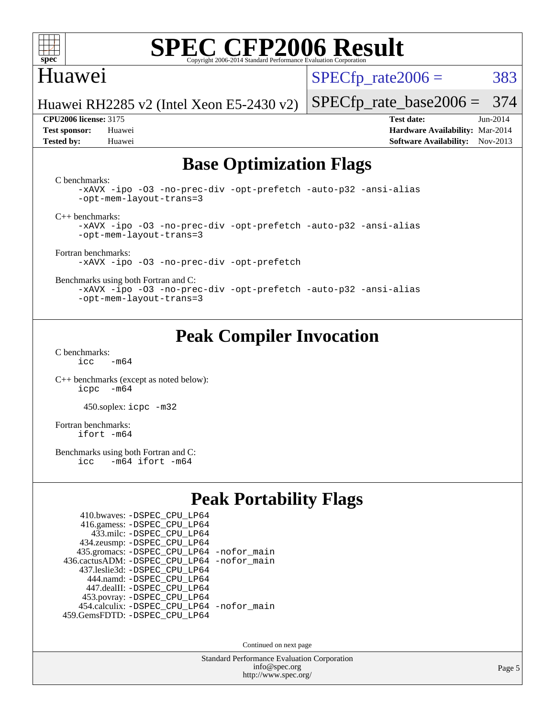

#### Huawei

 $SPECTp\_rate2006 = 383$ 

Huawei RH2285 v2 (Intel Xeon E5-2430 v2)

**[Test sponsor:](http://www.spec.org/auto/cpu2006/Docs/result-fields.html#Testsponsor)** Huawei **[Hardware Availability:](http://www.spec.org/auto/cpu2006/Docs/result-fields.html#HardwareAvailability)** Mar-2014 **[Tested by:](http://www.spec.org/auto/cpu2006/Docs/result-fields.html#Testedby)** Huawei **[Software Availability:](http://www.spec.org/auto/cpu2006/Docs/result-fields.html#SoftwareAvailability)** Nov-2013

[SPECfp\\_rate\\_base2006 =](http://www.spec.org/auto/cpu2006/Docs/result-fields.html#SPECfpratebase2006) 374 **[CPU2006 license:](http://www.spec.org/auto/cpu2006/Docs/result-fields.html#CPU2006license)** 3175 **[Test date:](http://www.spec.org/auto/cpu2006/Docs/result-fields.html#Testdate)** Jun-2014

## **[Base Optimization Flags](http://www.spec.org/auto/cpu2006/Docs/result-fields.html#BaseOptimizationFlags)**

[C benchmarks](http://www.spec.org/auto/cpu2006/Docs/result-fields.html#Cbenchmarks):

[-xAVX](http://www.spec.org/cpu2006/results/res2014q3/cpu2006-20140719-30537.flags.html#user_CCbase_f-xAVX) [-ipo](http://www.spec.org/cpu2006/results/res2014q3/cpu2006-20140719-30537.flags.html#user_CCbase_f-ipo) [-O3](http://www.spec.org/cpu2006/results/res2014q3/cpu2006-20140719-30537.flags.html#user_CCbase_f-O3) [-no-prec-div](http://www.spec.org/cpu2006/results/res2014q3/cpu2006-20140719-30537.flags.html#user_CCbase_f-no-prec-div) [-opt-prefetch](http://www.spec.org/cpu2006/results/res2014q3/cpu2006-20140719-30537.flags.html#user_CCbase_f-opt-prefetch) [-auto-p32](http://www.spec.org/cpu2006/results/res2014q3/cpu2006-20140719-30537.flags.html#user_CCbase_f-auto-p32) [-ansi-alias](http://www.spec.org/cpu2006/results/res2014q3/cpu2006-20140719-30537.flags.html#user_CCbase_f-ansi-alias) [-opt-mem-layout-trans=3](http://www.spec.org/cpu2006/results/res2014q3/cpu2006-20140719-30537.flags.html#user_CCbase_f-opt-mem-layout-trans_a7b82ad4bd7abf52556d4961a2ae94d5)

[C++ benchmarks:](http://www.spec.org/auto/cpu2006/Docs/result-fields.html#CXXbenchmarks)

[-xAVX](http://www.spec.org/cpu2006/results/res2014q3/cpu2006-20140719-30537.flags.html#user_CXXbase_f-xAVX) [-ipo](http://www.spec.org/cpu2006/results/res2014q3/cpu2006-20140719-30537.flags.html#user_CXXbase_f-ipo) [-O3](http://www.spec.org/cpu2006/results/res2014q3/cpu2006-20140719-30537.flags.html#user_CXXbase_f-O3) [-no-prec-div](http://www.spec.org/cpu2006/results/res2014q3/cpu2006-20140719-30537.flags.html#user_CXXbase_f-no-prec-div) [-opt-prefetch](http://www.spec.org/cpu2006/results/res2014q3/cpu2006-20140719-30537.flags.html#user_CXXbase_f-opt-prefetch) [-auto-p32](http://www.spec.org/cpu2006/results/res2014q3/cpu2006-20140719-30537.flags.html#user_CXXbase_f-auto-p32) [-ansi-alias](http://www.spec.org/cpu2006/results/res2014q3/cpu2006-20140719-30537.flags.html#user_CXXbase_f-ansi-alias) [-opt-mem-layout-trans=3](http://www.spec.org/cpu2006/results/res2014q3/cpu2006-20140719-30537.flags.html#user_CXXbase_f-opt-mem-layout-trans_a7b82ad4bd7abf52556d4961a2ae94d5)

[Fortran benchmarks](http://www.spec.org/auto/cpu2006/Docs/result-fields.html#Fortranbenchmarks): [-xAVX](http://www.spec.org/cpu2006/results/res2014q3/cpu2006-20140719-30537.flags.html#user_FCbase_f-xAVX) [-ipo](http://www.spec.org/cpu2006/results/res2014q3/cpu2006-20140719-30537.flags.html#user_FCbase_f-ipo) [-O3](http://www.spec.org/cpu2006/results/res2014q3/cpu2006-20140719-30537.flags.html#user_FCbase_f-O3) [-no-prec-div](http://www.spec.org/cpu2006/results/res2014q3/cpu2006-20140719-30537.flags.html#user_FCbase_f-no-prec-div) [-opt-prefetch](http://www.spec.org/cpu2006/results/res2014q3/cpu2006-20140719-30537.flags.html#user_FCbase_f-opt-prefetch)

[Benchmarks using both Fortran and C](http://www.spec.org/auto/cpu2006/Docs/result-fields.html#BenchmarksusingbothFortranandC):

[-xAVX](http://www.spec.org/cpu2006/results/res2014q3/cpu2006-20140719-30537.flags.html#user_CC_FCbase_f-xAVX) [-ipo](http://www.spec.org/cpu2006/results/res2014q3/cpu2006-20140719-30537.flags.html#user_CC_FCbase_f-ipo) [-O3](http://www.spec.org/cpu2006/results/res2014q3/cpu2006-20140719-30537.flags.html#user_CC_FCbase_f-O3) [-no-prec-div](http://www.spec.org/cpu2006/results/res2014q3/cpu2006-20140719-30537.flags.html#user_CC_FCbase_f-no-prec-div) [-opt-prefetch](http://www.spec.org/cpu2006/results/res2014q3/cpu2006-20140719-30537.flags.html#user_CC_FCbase_f-opt-prefetch) [-auto-p32](http://www.spec.org/cpu2006/results/res2014q3/cpu2006-20140719-30537.flags.html#user_CC_FCbase_f-auto-p32) [-ansi-alias](http://www.spec.org/cpu2006/results/res2014q3/cpu2006-20140719-30537.flags.html#user_CC_FCbase_f-ansi-alias) [-opt-mem-layout-trans=3](http://www.spec.org/cpu2006/results/res2014q3/cpu2006-20140719-30537.flags.html#user_CC_FCbase_f-opt-mem-layout-trans_a7b82ad4bd7abf52556d4961a2ae94d5)

## **[Peak Compiler Invocation](http://www.spec.org/auto/cpu2006/Docs/result-fields.html#PeakCompilerInvocation)**

[C benchmarks](http://www.spec.org/auto/cpu2006/Docs/result-fields.html#Cbenchmarks):  $icc$   $-m64$ 

[C++ benchmarks \(except as noted below\):](http://www.spec.org/auto/cpu2006/Docs/result-fields.html#CXXbenchmarksexceptasnotedbelow) [icpc -m64](http://www.spec.org/cpu2006/results/res2014q3/cpu2006-20140719-30537.flags.html#user_CXXpeak_intel_icpc_64bit_bedb90c1146cab66620883ef4f41a67e)

450.soplex: [icpc -m32](http://www.spec.org/cpu2006/results/res2014q3/cpu2006-20140719-30537.flags.html#user_peakCXXLD450_soplex_intel_icpc_4e5a5ef1a53fd332b3c49e69c3330699)

[Fortran benchmarks](http://www.spec.org/auto/cpu2006/Docs/result-fields.html#Fortranbenchmarks): [ifort -m64](http://www.spec.org/cpu2006/results/res2014q3/cpu2006-20140719-30537.flags.html#user_FCpeak_intel_ifort_64bit_ee9d0fb25645d0210d97eb0527dcc06e)

[Benchmarks using both Fortran and C](http://www.spec.org/auto/cpu2006/Docs/result-fields.html#BenchmarksusingbothFortranandC):<br>icc -m64 ifort -m64  $-m64$  ifort  $-m64$ 

## **[Peak Portability Flags](http://www.spec.org/auto/cpu2006/Docs/result-fields.html#PeakPortabilityFlags)**

| 410.bwaves: - DSPEC_CPU_LP64                 |  |
|----------------------------------------------|--|
| 416.gamess: -DSPEC_CPU_LP64                  |  |
| 433.milc: - DSPEC_CPU LP64                   |  |
| 434.zeusmp: -DSPEC_CPU_LP64                  |  |
| 435.gromacs: -DSPEC_CPU_LP64 -nofor_main     |  |
| 436.cactusADM: - DSPEC CPU LP64 - nofor main |  |
| 437.leslie3d: -DSPEC CPU LP64                |  |
| 444.namd: - DSPEC CPU LP64                   |  |
| 447.dealII: -DSPEC CPU LP64                  |  |
| 453.povray: -DSPEC_CPU_LP64                  |  |
| 454.calculix: - DSPEC CPU LP64 - nofor main  |  |
| 459.GemsFDTD: - DSPEC_CPU_LP64               |  |

Continued on next page

Standard Performance Evaluation Corporation [info@spec.org](mailto:info@spec.org) <http://www.spec.org/>

Page 5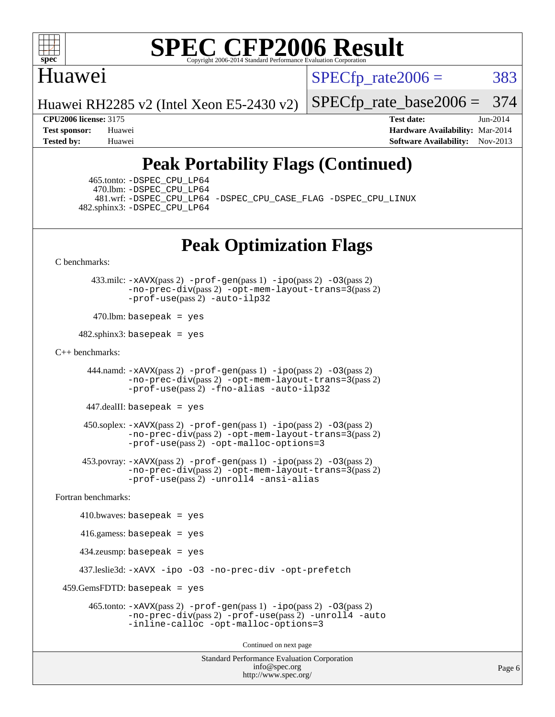

### Huawei

 $SPECTp\_rate2006 = 383$ 

[SPECfp\\_rate\\_base2006 =](http://www.spec.org/auto/cpu2006/Docs/result-fields.html#SPECfpratebase2006) 374

Huawei RH2285 v2 (Intel Xeon E5-2430 v2)

**[CPU2006 license:](http://www.spec.org/auto/cpu2006/Docs/result-fields.html#CPU2006license)** 3175 **[Test date:](http://www.spec.org/auto/cpu2006/Docs/result-fields.html#Testdate)** Jun-2014 **[Test sponsor:](http://www.spec.org/auto/cpu2006/Docs/result-fields.html#Testsponsor)** Huawei **[Hardware Availability:](http://www.spec.org/auto/cpu2006/Docs/result-fields.html#HardwareAvailability)** Mar-2014 **[Tested by:](http://www.spec.org/auto/cpu2006/Docs/result-fields.html#Testedby)** Huawei **[Software Availability:](http://www.spec.org/auto/cpu2006/Docs/result-fields.html#SoftwareAvailability)** Nov-2013

## **[Peak Portability Flags \(Continued\)](http://www.spec.org/auto/cpu2006/Docs/result-fields.html#PeakPortabilityFlags)**

 465.tonto: [-DSPEC\\_CPU\\_LP64](http://www.spec.org/cpu2006/results/res2014q3/cpu2006-20140719-30537.flags.html#suite_peakPORTABILITY465_tonto_DSPEC_CPU_LP64) 470.lbm: [-DSPEC\\_CPU\\_LP64](http://www.spec.org/cpu2006/results/res2014q3/cpu2006-20140719-30537.flags.html#suite_peakPORTABILITY470_lbm_DSPEC_CPU_LP64) 482.sphinx3: [-DSPEC\\_CPU\\_LP64](http://www.spec.org/cpu2006/results/res2014q3/cpu2006-20140719-30537.flags.html#suite_peakPORTABILITY482_sphinx3_DSPEC_CPU_LP64)

481.wrf: [-DSPEC\\_CPU\\_LP64](http://www.spec.org/cpu2006/results/res2014q3/cpu2006-20140719-30537.flags.html#suite_peakPORTABILITY481_wrf_DSPEC_CPU_LP64) [-DSPEC\\_CPU\\_CASE\\_FLAG](http://www.spec.org/cpu2006/results/res2014q3/cpu2006-20140719-30537.flags.html#b481.wrf_peakCPORTABILITY_DSPEC_CPU_CASE_FLAG) [-DSPEC\\_CPU\\_LINUX](http://www.spec.org/cpu2006/results/res2014q3/cpu2006-20140719-30537.flags.html#b481.wrf_peakCPORTABILITY_DSPEC_CPU_LINUX)

## **[Peak Optimization Flags](http://www.spec.org/auto/cpu2006/Docs/result-fields.html#PeakOptimizationFlags)**

[C benchmarks](http://www.spec.org/auto/cpu2006/Docs/result-fields.html#Cbenchmarks):

 433.milc: [-xAVX](http://www.spec.org/cpu2006/results/res2014q3/cpu2006-20140719-30537.flags.html#user_peakPASS2_CFLAGSPASS2_LDFLAGS433_milc_f-xAVX)(pass 2) [-prof-gen](http://www.spec.org/cpu2006/results/res2014q3/cpu2006-20140719-30537.flags.html#user_peakPASS1_CFLAGSPASS1_LDFLAGS433_milc_prof_gen_e43856698f6ca7b7e442dfd80e94a8fc)(pass 1) [-ipo](http://www.spec.org/cpu2006/results/res2014q3/cpu2006-20140719-30537.flags.html#user_peakPASS2_CFLAGSPASS2_LDFLAGS433_milc_f-ipo)(pass 2) [-O3](http://www.spec.org/cpu2006/results/res2014q3/cpu2006-20140719-30537.flags.html#user_peakPASS2_CFLAGSPASS2_LDFLAGS433_milc_f-O3)(pass 2) [-no-prec-div](http://www.spec.org/cpu2006/results/res2014q3/cpu2006-20140719-30537.flags.html#user_peakPASS2_CFLAGSPASS2_LDFLAGS433_milc_f-no-prec-div)(pass 2) [-opt-mem-layout-trans=3](http://www.spec.org/cpu2006/results/res2014q3/cpu2006-20140719-30537.flags.html#user_peakPASS2_CFLAGS433_milc_f-opt-mem-layout-trans_a7b82ad4bd7abf52556d4961a2ae94d5)(pass 2) [-prof-use](http://www.spec.org/cpu2006/results/res2014q3/cpu2006-20140719-30537.flags.html#user_peakPASS2_CFLAGSPASS2_LDFLAGS433_milc_prof_use_bccf7792157ff70d64e32fe3e1250b55)(pass 2) [-auto-ilp32](http://www.spec.org/cpu2006/results/res2014q3/cpu2006-20140719-30537.flags.html#user_peakCOPTIMIZE433_milc_f-auto-ilp32)

 $470$ .lbm: basepeak = yes

 $482$ .sphinx3: basepeak = yes

#### [C++ benchmarks:](http://www.spec.org/auto/cpu2006/Docs/result-fields.html#CXXbenchmarks)

 444.namd: [-xAVX](http://www.spec.org/cpu2006/results/res2014q3/cpu2006-20140719-30537.flags.html#user_peakPASS2_CXXFLAGSPASS2_LDFLAGS444_namd_f-xAVX)(pass 2) [-prof-gen](http://www.spec.org/cpu2006/results/res2014q3/cpu2006-20140719-30537.flags.html#user_peakPASS1_CXXFLAGSPASS1_LDFLAGS444_namd_prof_gen_e43856698f6ca7b7e442dfd80e94a8fc)(pass 1) [-ipo](http://www.spec.org/cpu2006/results/res2014q3/cpu2006-20140719-30537.flags.html#user_peakPASS2_CXXFLAGSPASS2_LDFLAGS444_namd_f-ipo)(pass 2) [-O3](http://www.spec.org/cpu2006/results/res2014q3/cpu2006-20140719-30537.flags.html#user_peakPASS2_CXXFLAGSPASS2_LDFLAGS444_namd_f-O3)(pass 2) [-no-prec-div](http://www.spec.org/cpu2006/results/res2014q3/cpu2006-20140719-30537.flags.html#user_peakPASS2_CXXFLAGSPASS2_LDFLAGS444_namd_f-no-prec-div)(pass 2) [-opt-mem-layout-trans=3](http://www.spec.org/cpu2006/results/res2014q3/cpu2006-20140719-30537.flags.html#user_peakPASS2_CXXFLAGS444_namd_f-opt-mem-layout-trans_a7b82ad4bd7abf52556d4961a2ae94d5)(pass 2) [-prof-use](http://www.spec.org/cpu2006/results/res2014q3/cpu2006-20140719-30537.flags.html#user_peakPASS2_CXXFLAGSPASS2_LDFLAGS444_namd_prof_use_bccf7792157ff70d64e32fe3e1250b55)(pass 2) [-fno-alias](http://www.spec.org/cpu2006/results/res2014q3/cpu2006-20140719-30537.flags.html#user_peakCXXOPTIMIZE444_namd_f-no-alias_694e77f6c5a51e658e82ccff53a9e63a) [-auto-ilp32](http://www.spec.org/cpu2006/results/res2014q3/cpu2006-20140719-30537.flags.html#user_peakCXXOPTIMIZE444_namd_f-auto-ilp32)

447.dealII: basepeak = yes

 $450$ .soplex:  $-x$ AVX(pass 2)  $-p$ rof-gen(pass 1)  $-i$ po(pass 2)  $-03$ (pass 2) [-no-prec-div](http://www.spec.org/cpu2006/results/res2014q3/cpu2006-20140719-30537.flags.html#user_peakPASS2_CXXFLAGSPASS2_LDFLAGS450_soplex_f-no-prec-div)(pass 2) [-opt-mem-layout-trans=3](http://www.spec.org/cpu2006/results/res2014q3/cpu2006-20140719-30537.flags.html#user_peakPASS2_CXXFLAGS450_soplex_f-opt-mem-layout-trans_a7b82ad4bd7abf52556d4961a2ae94d5)(pass 2) [-prof-use](http://www.spec.org/cpu2006/results/res2014q3/cpu2006-20140719-30537.flags.html#user_peakPASS2_CXXFLAGSPASS2_LDFLAGS450_soplex_prof_use_bccf7792157ff70d64e32fe3e1250b55)(pass 2) [-opt-malloc-options=3](http://www.spec.org/cpu2006/results/res2014q3/cpu2006-20140719-30537.flags.html#user_peakOPTIMIZE450_soplex_f-opt-malloc-options_13ab9b803cf986b4ee62f0a5998c2238)

 453.povray: [-xAVX](http://www.spec.org/cpu2006/results/res2014q3/cpu2006-20140719-30537.flags.html#user_peakPASS2_CXXFLAGSPASS2_LDFLAGS453_povray_f-xAVX)(pass 2) [-prof-gen](http://www.spec.org/cpu2006/results/res2014q3/cpu2006-20140719-30537.flags.html#user_peakPASS1_CXXFLAGSPASS1_LDFLAGS453_povray_prof_gen_e43856698f6ca7b7e442dfd80e94a8fc)(pass 1) [-ipo](http://www.spec.org/cpu2006/results/res2014q3/cpu2006-20140719-30537.flags.html#user_peakPASS2_CXXFLAGSPASS2_LDFLAGS453_povray_f-ipo)(pass 2) [-O3](http://www.spec.org/cpu2006/results/res2014q3/cpu2006-20140719-30537.flags.html#user_peakPASS2_CXXFLAGSPASS2_LDFLAGS453_povray_f-O3)(pass 2) [-no-prec-div](http://www.spec.org/cpu2006/results/res2014q3/cpu2006-20140719-30537.flags.html#user_peakPASS2_CXXFLAGSPASS2_LDFLAGS453_povray_f-no-prec-div)(pass 2) [-opt-mem-layout-trans=3](http://www.spec.org/cpu2006/results/res2014q3/cpu2006-20140719-30537.flags.html#user_peakPASS2_CXXFLAGS453_povray_f-opt-mem-layout-trans_a7b82ad4bd7abf52556d4961a2ae94d5)(pass 2) [-prof-use](http://www.spec.org/cpu2006/results/res2014q3/cpu2006-20140719-30537.flags.html#user_peakPASS2_CXXFLAGSPASS2_LDFLAGS453_povray_prof_use_bccf7792157ff70d64e32fe3e1250b55)(pass 2) [-unroll4](http://www.spec.org/cpu2006/results/res2014q3/cpu2006-20140719-30537.flags.html#user_peakCXXOPTIMIZE453_povray_f-unroll_4e5e4ed65b7fd20bdcd365bec371b81f) [-ansi-alias](http://www.spec.org/cpu2006/results/res2014q3/cpu2006-20140719-30537.flags.html#user_peakCXXOPTIMIZE453_povray_f-ansi-alias)

[Fortran benchmarks](http://www.spec.org/auto/cpu2006/Docs/result-fields.html#Fortranbenchmarks):

```
410.bwaves: basepeak = yes 416.gamess: basepeak = yes
    434.zeusmp: basepeak = yes
    437.leslie3d: -xAVX -ipo -O3 -no-prec-div -opt-prefetch
459.GemsFDTD: basepeak = yes 465.tonto: -xAVX(pass 2) -prof-gen(pass 1) -ipo(pass 2) -O3(pass 2)
              -no-prec-div(pass 2) -prof-use(pass 2) -unroll4 -auto
              -inline-calloc -opt-malloc-options=3
                                      Continued on next page
```
Standard Performance Evaluation Corporation [info@spec.org](mailto:info@spec.org) <http://www.spec.org/>